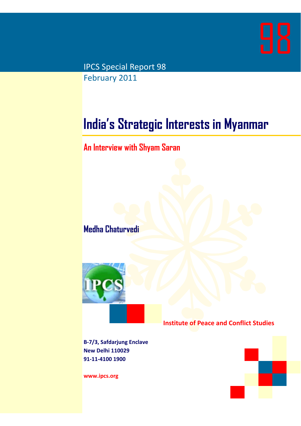

IPCS Special Report 98 February 2011

# **India's Strategic Interests in Myanmar**

## **An Interview with Shyam Saran**

**Medha Chaturvedi** 



**Institute of Peace and Conflict Studies**

**B‐7/3, Safdarjung Enclave New Delhi 110029 91‐11‐4100 1900**

**www.ipcs.org**

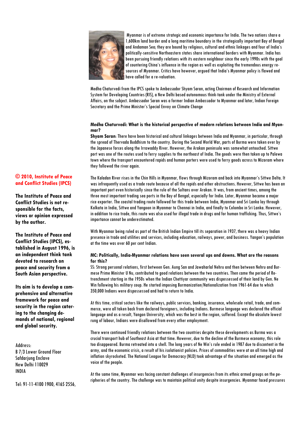

 Myanmar is of extreme strategic and economic importance for India. The two nations share a 1,600km land border and a long maritime boundary in the strategically important Bay of Bengal and Andaman Sea; they are bound by religious, cultural and ethnic linkages and four of India's politically-sensitive Northeastern states share international borders with Myanmar. India has been pursuing friendly relations with its eastern neighbour since the early 1990s with the goal of countering China's influence in the region as well as exploiting the tremendous energy resources of Myanmar. Critics have however, argued that India's Myanmar policy is flawed and have called for a re-valuation.

Medha Chaturvedi from the IPCS spoke to Ambassador Shyam Saran, acting Chairman of Research and Information System for Developing Countries (RIS), a New Delhi based autonomous think-tank under the Ministry of External Affairs, on the subject. Ambassador Saran was a former Indian Ambassador to Myanmar and later, Indian Foreign Secretary and the Prime Minister's Special Envoy on Climate Change

#### **Medha Chaturvedi: What is the historical perspective of modern relations between India and Myanmar?**

**Shyam Saran**: There have been historical and cultural linkages between India and Myanmar, in particular, through the spread of Thervada Buddhism to the country. During the Second World War, parts of Burma were taken over by the Japanese forces along the Irrawaddy River. However, the Arakan peninsula was somewhat untouched. Sittwe port was one of the routes used to ferry supplies to the northeast of India. The goods were then taken up to Palewa town where the transport encountered rapids and human porters were used to ferry goods across to Mizoram where they followed the river again.

The Kaladan River rises in the Chin Hills in Myanmar, flows through Mizoram and back into Myanmar's Sittwe Delta. It was infrequently used as a trade route because of all the rapids and other obstructions. However, Sittwe has been an important port even historically since the rule of the Sultans over Arakan. It was, from ancient times, among the three most important trading sea ports in the Bay of Bengal, especially for India. Later, Myanmar became a major rice exporter. The coastal trading route followed for this trade between India, Myanmar and Sri Lanka lay through Kolkata in India, Sittwe and Yangoon in Myanmar to Chennai in India, and finally to Colombo in Sri Lanka. However, in addition to rice trade, this route was also used for illegal trade in drugs and for human trafficking. Thus, Sittwe's importance cannot be underestimated.

With Myanmar being ruled as part of the British Indian Empire till its separation in 1937, there was a heavy Indian presence in trade and utilities and services, including education, railways, power, and business. Yangon's population at the time was over 60 per cent Indian.

#### **MC: Politically, India-Myanmar relations have seen several ups and downs. What are the reasons for this?**

SS: Strong personal relations, first between Gen. Aung San and Jawaharlal Nehru and then between Nehru and Burmese Prime Minister U Nu, contributed to good relations between the two countries. Then came the period of Retrenchment starting in the 1950s when the Indian Chettiyar community was dispossessed of their land by Gen. Ne Win following his military coup. He started imposing Burmanization/Nationalization from 1961-64 due to which 350,000 Indians were dispossessed and had to return to India.

At this time, critical sectors like the railways, public services, banking, insurance, wholesale retail, trade, and commerce, were all taken back from declared foreigners, including Indians. Burmese language was declared the official language and as a result, Yangon University, which was the best in the region, suffered. Except the absolute lowest rung of labour, Indians were disallowed from every other employment.

There were continued friendly relations between the two countries despite these developments as Burma was a crucial transport hub of Southeast Asia at that time. However, due to the decline of the Burmese economy, this role too disappeared. Burma retreated into a shell. The long years of Ne Win's rule ended in 1987 due to discontent in the army, and the economic crisis, a result of his isolationist policies. Prices of commodities were at an all time high and inflation skyrocketed. The National League for Democracy (NLD) took advantage of the situation and emerged as the voice of the people.

At the same time, Myanmar was facing constant challenges of insurgencies from its ethnic armed groups on the peripheries of the country. The challenge was to maintain political unity despite insurgencies. Myanmar faced pressures

### **© 2010, Institute of Peace and Conflict Studies (IPCS)**

**The Institute of Peace and Conflict Studies is not responsible for the facts, views or opinion expressed by the author.** 

**The Institute of Peace and Conflict Studies (IPCS), established in August 1996, is an independent think tank devoted to research on peace and security from a South Asian perspective.** 

**Its aim is to develop a comprehensive and alternative framework for peace and security in the region catering to the changing demands of national, regional and global security.** 

Address:

B 7/3 Lower Ground Floor Safdariuna Enclave New Delhi 110029 INDIA

Tel: 91-11-4100 1900, 4165 2556,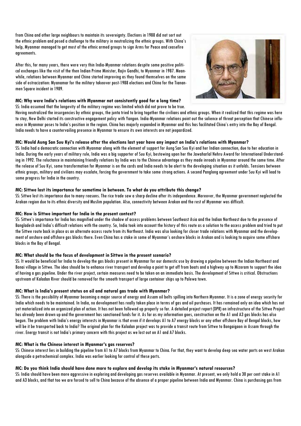from China and other large neighbours to maintain its sovereignty. Elections in 1988 did not sort out the ethnic problem and posed a challenge to the military in neutralizing the ethnic groups. With China's help, Myanmar managed to get most of the ethnic armed groups to sign Arms for Peace and ceasefire agreements.

After this, for many years, there were very thin India-Myanmar relations despite some positive political exchanges like the visit of the then Indian Prime Minister, Rajiv Gandhi, to Myanmar in 1987. Meanwhile, relations between Myanmar and China started improving as they found themselves on the same side of ostracization: Myanamar for the military takeover post-1988 elections and China for the Tiananmen Square incident in 1989.

#### **MC: Why were India's relations with Myanmar not consistently good for a long time?**  SS: India assumed that the longevity of the military regime was limited which did not prove to be true.



Having neutralized the insurgencies by ethnic groups, the junta tried to bring together the civilians and ethnic groups. When it realized that this regime was here to stay, New Delhi started its constructive engagement policy with Yangon. India-Myanmar relations point out the salience of threat perception that Chinese influence in Myanmar poses to India's position in the region. China has majorly expanded in Myanmar and this has facilitated China's entry into the Bay of Bengal. India needs to have a countervailing presence in Myanmar to ensure its own interests are not jeopardized.

#### **MC: Would Aung San Suu Kyi's release after the elections last year have any impact on India's relations with Myanmar?**

SS: India had a democratic connection with Myanmar along with the element of support for Aung San Suu Kyi and her Indian connection, due to her education in India. During the early years of military rule, India was a big supporter of Suu Kyi, bestowing upon her the Jawaharlal Nehru Award for International Understanding in 1992. The reluctance in maintaining friendly relations by India was to the Chinese advantage as they made inroads in Myanmar around the same time. After the release of Suu Kyi, some transformation for Myanmar is on the cards and India needs to be alert to the developing situation as it unfolds. Tensions between ethnic groups, military and civilians may escalate, forcing the government to take some strong actions. A second Panglong agreement under Suu Kyi will lead to some progress for India in the country.

#### **MC: Sittwe lost its importance for sometime in between. To what do you attribute this change?**

SS: Sittwe lost its importance due to many reasons. The rice trade saw a sharp decline after its independence. Moreover, the Myanmar government neglected the Arakan region due to its ethnic diversity and Muslim population. Also, connectivity between Arakan and the rest of Myanmar was difficult.

#### **MC: How is Sittwe important for India in the present context?**

SS: Sittwe's importance for India has magnified under the shadow of access problems between Southeast Asia and the Indian Northeast due to the presence of Bangladesh and India's difficult relations with the country. So, India took into account the history of this route as a solution to the access problem and tried to put the Sittwe route back in place as an alternate access route from its Northeast. India was also looking for closer trade relations with Myanmar and the development of onshore and offshore gas blocks there. Even China has a stake in some of Myanmar's onshore blocks in Arakan and is looking to acquire some offshore blocks in the Bay of Bengal.

#### **MC: What should be the focus of development in Sittwe in the present scenario?**

SS: It would be beneficial for India to develop the gas blocks present in Myanmar for our domestic use by drawing a pipeline between the Indian Northeast and Bonai village in Sittwe. The idea should be to enhance river transport and develop a point to get off from boats and a highway up to Mizoram to support the idea of having a gas pipeline. Under the river project, certain measures need to be taken on an immediate basis. The development of Sittwe is critical. Obstructions upstream of Kaladan River should be removed for the smooth transport of large container ships up to Palewa town.

#### **MC: What is India's present status on oil and natural gas trade with Myanmar?**

SS: There is the possibility of Myanmar becoming a major source of energy and Assam oil belts spilling into Northern Myanmar. It is a zone of energy security for India which needs to be maintained. In India, no development has really taken place in terms of gas and oil purchases. It has remained only an idea which has not yet materialized into an organized plan of action. It has not been followed up properly so far. A detailed project report (DPR) on infrastructure of the Sittwe Project has already been drawn up and the government has sanctioned funds for it. As far as my information goes, construction on the A1 and A3 gas blocks has also begun. The problem with India's energy interests in Myanmar is that even if it develops A1 to A7 energy blocks or any other offshore Bay of Bengal blocks, how will be it be transported back to India? The original plan for the Kaladan project was to provide a transit route from Sittwe to Bongaigaon in Assam through the river. Energy transit is not India's primary concern with this project as we lost out on A1 and A7 blocks.

#### **MC: What is the Chinese interest in Myanmar's gas reserves?**

SS: Chinese interest lies in building the pipeline from A1 to A7 blocks from Myanmar to China. For that, they want to develop deep sea water ports on west Arakan alongside a petrochemical complex. India was earlier looking for control of these ports.

#### **MC: Do you think India should have done more to explore and develop its stake in Myanmar's natural resources?**

SS: India should have been more aggressive in exploring and developing gas reserves available in Myanmar. At present, we only hold a 30 per cent stake in A1 and A3 blocks, and that too we are forced to sell to China because of the absence of a proper pipeline between India and Myanmar. China is purchasing gas from